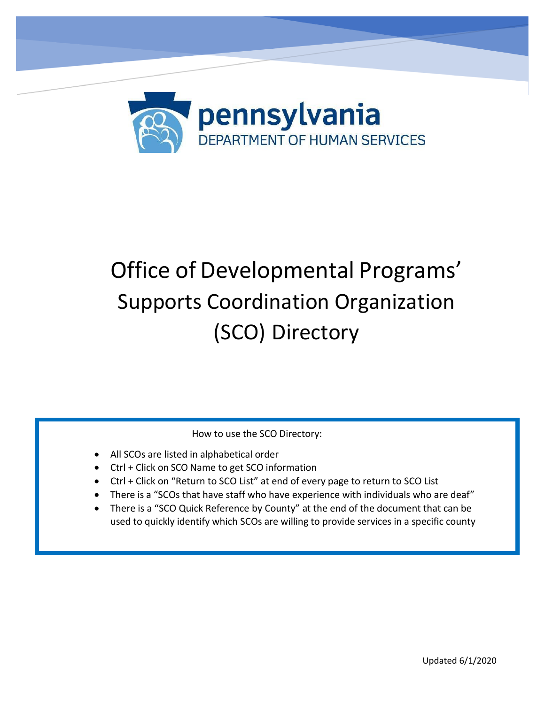

# Office of Developmental Programs' Supports Coordination Organization (SCO) Directory

How to use the SCO Directory:

- All SCOs are listed in alphabetical order
- Ctrl + Click on SCO Name to get SCO information
- Ctrl + Click on "Return to SCO List" at end of every page to return to SCO List
- There is a "SCOs that have staff who have experience with individuals who are deaf"
- There is a "SCO Quick Reference by County" at the end of the document that can be used to quickly identify which SCOs are willing to provide services in a specific county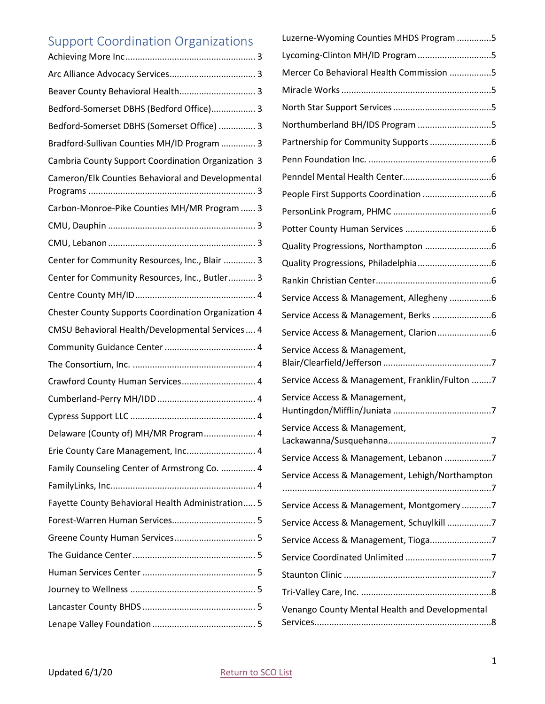# <span id="page-1-1"></span><span id="page-1-0"></span>Support Coordination Organizations

| Beaver County Behavioral Health 3                          |
|------------------------------------------------------------|
| Bedford-Somerset DBHS (Bedford Office) 3                   |
| Bedford-Somerset DBHS (Somerset Office)  3                 |
| Bradford-Sullivan Counties MH/ID Program  3                |
| Cambria County Support Coordination Organization 3         |
| Cameron/Elk Counties Behavioral and Developmental          |
| Carbon-Monroe-Pike Counties MH/MR Program  3               |
|                                                            |
|                                                            |
| Center for Community Resources, Inc., Blair  3             |
| Center for Community Resources, Inc., Butler 3             |
|                                                            |
| <b>Chester County Supports Coordination Organization 4</b> |
| CMSU Behavioral Health/Developmental Services  4           |
|                                                            |
|                                                            |
| Crawford County Human Services 4                           |
|                                                            |
|                                                            |
| Delaware (County of) MH/MR Program 4                       |
| Erie County Care Management, Inc 4                         |
| Family Counseling Center of Armstrong Co.  4               |
|                                                            |
| Fayette County Behavioral Health Administration 5          |
|                                                            |
|                                                            |
|                                                            |
|                                                            |
|                                                            |
|                                                            |
|                                                            |

| Luzerne-Wyoming Counties MHDS Program 5         |
|-------------------------------------------------|
| Lycoming-Clinton MH/ID Program5                 |
| Mercer Co Behavioral Health Commission 5        |
|                                                 |
|                                                 |
| Northumberland BH/IDS Program 5                 |
|                                                 |
|                                                 |
|                                                 |
|                                                 |
|                                                 |
|                                                 |
|                                                 |
|                                                 |
|                                                 |
| Service Access & Management, Allegheny 6        |
|                                                 |
|                                                 |
| Service Access & Management,                    |
| Service Access & Management, Franklin/Fulton 7  |
| Service Access & Management,                    |
| Service Access & Management,                    |
| Service Access & Management, Lebanon 7          |
| Service Access & Management, Lehigh/Northampton |
|                                                 |
| Service Access & Management, Montgomery7        |
| Service Access & Management, Schuylkill 7       |
| Service Access & Management, Tioga7             |
|                                                 |
|                                                 |
|                                                 |
| Venango County Mental Health and Developmental  |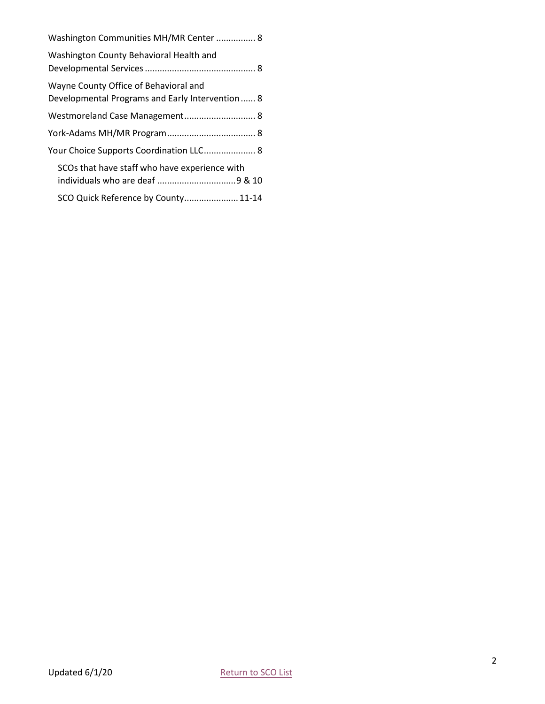| Washington Communities MH/MR Center  8                                                   |
|------------------------------------------------------------------------------------------|
| Washington County Behavioral Health and                                                  |
| Wayne County Office of Behavioral and<br>Developmental Programs and Early Intervention 8 |
| Westmoreland Case Management 8                                                           |
|                                                                                          |
| Your Choice Supports Coordination LLC 8                                                  |
| SCOs that have staff who have experience with                                            |
| SCO Quick Reference by County 11-14                                                      |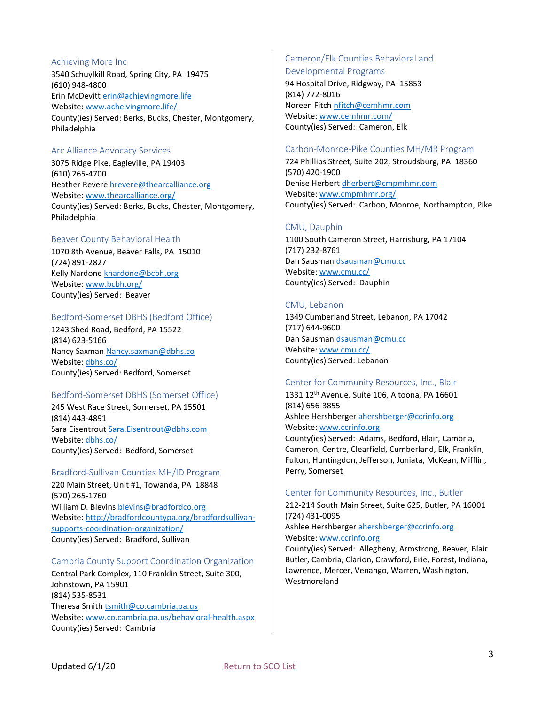#### <span id="page-3-0"></span>Achieving More Inc

3540 Schuylkill Road, Spring City, PA 19475 (610) 948-4800 Erin McDevitt [erin@achievingmore.life](mailto:erin@achievingmore.life) Website: [www.acheivingmore.life/](http://www.acheivingmore.life/) County(ies) Served: Berks, Bucks, Chester, Montgomery, Philadelphia

# <span id="page-3-1"></span>Arc Alliance Advocacy Services

3075 Ridge Pike, Eagleville, PA 19403 (610) 265-4700 Heather Revere [hrevere@thearcalliance.org](mailto:hrevere@thearcalliance.org) Website: [www.thearcalliance.org/](http://www.thearcalliance.org/) County(ies) Served: Berks, Bucks, Chester, Montgomery, Philadelphia

# <span id="page-3-2"></span>Beaver County Behavioral Health

1070 8th Avenue, Beaver Falls, PA 15010 (724) 891-2827 Kelly Nardone [knardone@bcbh.org](mailto:knardone@bcbh.org) Website: [www.bcbh.org/](http://www.bcbh.org/) County(ies) Served: Beaver

#### <span id="page-3-3"></span>Bedford-Somerset DBHS (Bedford Office)

1243 Shed Road, Bedford, PA 15522 (814) 623-5166 Nancy Saxman [Nancy.saxman@dbhs.co](mailto:Nancy.saxman@dbhs.co) Website: [dbhs.co/](http://dbhs.co/) County(ies) Served: Bedford, Somerset

#### <span id="page-3-4"></span>Bedford-Somerset DBHS (Somerset Office)

245 West Race Street, Somerset, PA 15501 (814) 443-4891 Sara Eisentrout Sara.Eisentrout@dbhs.com Website: [dbhs.co/](http://dbhs.co/) County(ies) Served: Bedford, Somerset

#### <span id="page-3-5"></span>Bradford-Sullivan Counties MH/ID Program

220 Main Street, Unit #1, Towanda, PA 18848 (570) 265-1760 William D. Blevins [blevins@bradfordco.org](mailto:blevins@bradfordco.org) Website: [http://bradfordcountypa.org/bradfordsullivan](http://bradfordcountypa.org/bradfordsullivan-supports-coordination-organization/)[supports-coordination-organization/](http://bradfordcountypa.org/bradfordsullivan-supports-coordination-organization/) County(ies) Served: Bradford, Sullivan

#### <span id="page-3-6"></span>Cambria County Support Coordination Organization

Central Park Complex, 110 Franklin Street, Suite 300, Johnstown, PA 15901 (814) 535-8531 Theresa Smith [tsmith@co.cambria.pa.us](mailto:tsmith@co.cambria.pa.us) Website: [www.co.cambria.pa.us/behavioral-health.aspx](http://www.co.cambria.pa.us/behavioral-health.aspx) County(ies) Served: Cambria

# <span id="page-3-7"></span>Cameron/Elk Counties Behavioral and

Developmental Programs

94 Hospital Drive, Ridgway, PA 15853 (814) 772-8016 Noreen Fitch [nfitch@cemhmr.com](mailto:nfitch@cemhmr.com) Website: [www.cemhmr.com/](http://www.cemhmr.com/) County(ies) Served: Cameron, Elk

#### <span id="page-3-8"></span>Carbon-Monroe-Pike Counties MH/MR Program

724 Phillips Street, Suite 202, Stroudsburg, PA 18360 (570) 420-1900 Denise Herbert [dherbert@cmpmhmr.com](mailto:dherbert@cmpmhmr.com) Website: [www.cmpmhmr.org/](http://www.cmpmhmr.org/) County(ies) Served: Carbon, Monroe, Northampton, Pike

#### <span id="page-3-9"></span>CMU, Dauphin

1100 South Cameron Street, Harrisburg, PA 17104 (717) 232-8761 Dan Sausman [dsausman@cmu.cc](mailto:dsausman@cmu.cc) Website: [www.cmu.cc/](http://www.cmu.cc/) County(ies) Served: Dauphin

#### <span id="page-3-10"></span>CMU, Lebanon

1349 Cumberland Street, Lebanon, PA 17042 (717) 644-9600 Dan Sausman [dsausman@cmu.cc](mailto:dsausman@cmu.cc) Website: [www.cmu.cc/](http://www.cmu.cc/) County(ies) Served: Lebanon

#### <span id="page-3-11"></span>Center for Community Resources, Inc., Blair

1331 12<sup>th</sup> Avenue, Suite 106, Altoona, PA 16601 (814) 656-3855 Ashlee Hershberger [ahershberger@ccrinfo.org](mailto:ahershberger@ccrinfo.org) Website: [www.ccrinfo.org](http://www.ccrinfo.org/)

County(ies) Served: Adams, Bedford, Blair, Cambria, Cameron, Centre, Clearfield, Cumberland, Elk, Franklin, Fulton, Huntingdon, Jefferson, Juniata, McKean, Mifflin, Perry, Somerset

#### <span id="page-3-12"></span>Center for Community Resources, Inc., Butler

212-214 South Main Street, Suite 625, Butler, PA 16001 (724) 431-0095 Ashlee Hershberger [ahershberger@ccrinfo.org](mailto:ahershberger@ccrinfo.org) Website: [www.ccrinfo.org](http://www.ccrinfo.org/)

County(ies) Served: Allegheny, Armstrong, Beaver, Blair Butler, Cambria, Clarion, Crawford, Erie, Forest, Indiana, Lawrence, Mercer, Venango, Warren, Washington, Westmoreland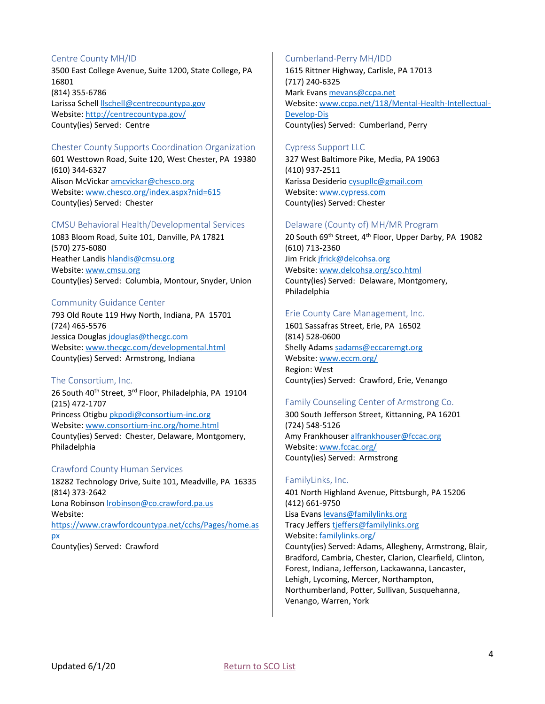# <span id="page-4-0"></span>Centre County MH/ID

3500 East College Avenue, Suite 1200, State College, PA 16801 (814) 355-6786 Larissa Schell [llschell@centrecountypa.gov](mailto:llschell@centrecountypa.gov) Website:<http://centrecountypa.gov/> County(ies) Served: Centre

# <span id="page-4-1"></span>Chester County Supports Coordination Organization

601 Westtown Road, Suite 120, West Chester, PA 19380 (610) 344-6327 Alison McVicka[r amcvickar@chesco.org](mailto:amcvickar@chesco.org) Website: [www.chesco.org/index.aspx?nid=615](http://www.chesco.org/index.aspx?nid=615) County(ies) Served: Chester

# <span id="page-4-2"></span>CMSU Behavioral Health/Developmental Services

1083 Bloom Road, Suite 101, Danville, PA 17821 (570) 275-6080 Heather Landis [hlandis@cmsu.org](mailto:hlandis@cmsu.org) Website: [www.cmsu.org](http://www.cmsu.org/) County(ies) Served: Columbia, Montour, Snyder, Union

# <span id="page-4-3"></span>Community Guidance Center

793 Old Route 119 Hwy North, Indiana, PA 15701 (724) 465-5576 Jessica Douglas [jdouglas@thecgc.com](mailto:jdouglas@thecgc.com) Website: [www.thecgc.com/developmental.html](http://www.thecgc.com/developmental.html) County(ies) Served: Armstrong, Indiana

#### <span id="page-4-4"></span>The Consortium, Inc.

26 South 40<sup>th</sup> Street, 3<sup>rd</sup> Floor, Philadelphia, PA 19104 (215) 472-1707 Princess Otigbu [pkpodi@consortium-inc.org](mailto:pkpodi@consortium-inc.org) Website: [www.consortium-inc.org/home.html](http://www.consortium-inc.org/home.html) County(ies) Served: Chester, Delaware, Montgomery, Philadelphia

#### <span id="page-4-5"></span>Crawford County Human Services

18282 Technology Drive, Suite 101, Meadville, PA 16335 (814) 373-2642 Lona Robinson [lrobinson@co.crawford.pa.us](mailto:lrobinson@co.crawford.pa.us) Website: [https://www.crawfordcountypa.net/cchs/Pages/home.as](https://www.crawfordcountypa.net/cchs/Pages/home.aspx) [px](https://www.crawfordcountypa.net/cchs/Pages/home.aspx) County(ies) Served: Crawford

# <span id="page-4-6"></span>Cumberland-Perry MH/IDD

1615 Rittner Highway, Carlisle, PA 17013 (717) 240-6325 Mark Evans [mevans@ccpa.net](mailto:mevans@ccpa.net) Website: [www.ccpa.net/118/Mental-Health-Intellectual-](http://www.ccpa.net/118/Mental-Health-Intellectual-Develop-Dis)[Develop-Dis](http://www.ccpa.net/118/Mental-Health-Intellectual-Develop-Dis) County(ies) Served: Cumberland, Perry

# <span id="page-4-7"></span>Cypress Support LLC

327 West Baltimore Pike, Media, PA 19063 (410) 937-2511 Karissa Desiderio [cysupllc@gmail.com](mailto:cysupllc@gmail.com) Website: [www.cypress.com](http://www.cypress.com/) County(ies) Served: Chester

#### <span id="page-4-8"></span>Delaware (County of) MH/MR Program

20 South 69<sup>th</sup> Street, 4<sup>th</sup> Floor, Upper Darby, PA 19082 (610) 713-2360 Jim Frick [jfrick@delcohsa.org](mailto:jfrick@delcohsa.org) Website: [www.delcohsa.org/sco.html](http://www.delcohsa.org/sco.html) County(ies) Served: Delaware, Montgomery, Philadelphia

#### <span id="page-4-9"></span>Erie County Care Management, Inc.

1601 Sassafras Street, Erie, PA 16502 (814) 528-0600 Shelly Adams [sadams@eccaremgt.org](mailto:sadams@eccaremgt.org) Website: [www.eccm.org/](http://www.eccm.org/) Region: West County(ies) Served: Crawford, Erie, Venango

# <span id="page-4-10"></span>Family Counseling Center of Armstrong Co.

300 South Jefferson Street, Kittanning, PA 16201 (724) 548-5126 Amy Frankhouser [alfrankhouser@fccac.org](mailto:alfrankhouser@fccac.org) Website: [www.fccac.org/](http://www.fccac.org/) County(ies) Served: Armstrong

#### <span id="page-4-11"></span>FamilyLinks, Inc.

401 North Highland Avenue, Pittsburgh, PA 15206 (412) 661-9750 Lisa Evans [levans@familylinks.org](mailto:levans@familylinks.org) Tracy Jeffers [tjeffers@familylinks.org](mailto:tjeffers@familylinks.org) Website: [familylinks.org/](https://familylinks.org/) County(ies) Served: Adams, Allegheny, Armstrong, Blair, Bradford, Cambria, Chester, Clarion, Clearfield, Clinton, Forest, Indiana, Jefferson, Lackawanna, Lancaster, Lehigh, Lycoming, Mercer, Northampton, Northumberland, Potter, Sullivan, Susquehanna, Venango, Warren, York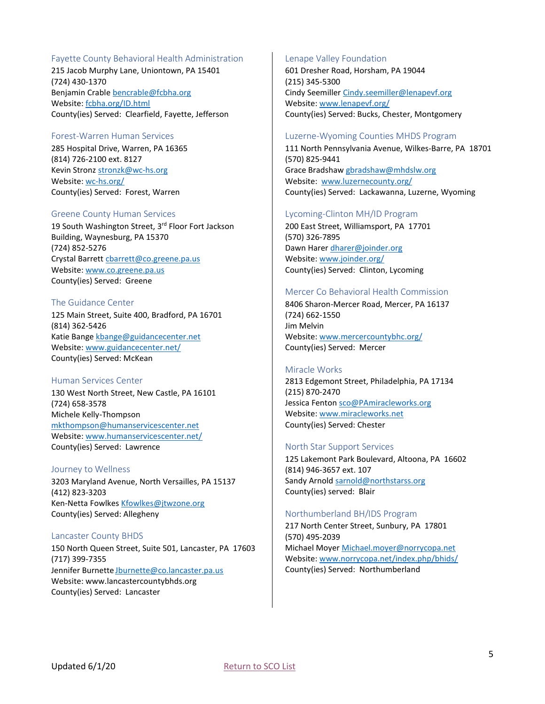# <span id="page-5-0"></span>Fayette County Behavioral Health Administration

215 Jacob Murphy Lane, Uniontown, PA 15401 (724) 430-1370 Benjamin Crable [bencrable@fcbha.org](mailto:bencrable@fcbha.org) Website: [fcbha.org/ID.html](http://fcbha.org/ID.html) County(ies) Served: Clearfield, Fayette, Jefferson

#### <span id="page-5-1"></span>Forest-Warren Human Services

285 Hospital Drive, Warren, PA 16365 (814) 726-2100 ext. 8127 Kevin Stronz [stronzk@wc-hs.org](mailto:stronzk@wc-hs.org) Website: [wc-hs.org/](http://wc-hs.org/) County(ies) Served: Forest, Warren

# <span id="page-5-2"></span>Greene County Human Services

19 South Washington Street, 3rd Floor Fort Jackson Building, Waynesburg, PA 15370 (724) 852-5276 Crystal Barrett [cbarrett@co.greene.pa.us](mailto:cbarrett@co.greene.pa.us) Website: [www.co.greene.pa.us](http://www.co.greene.pa.us/) County(ies) Served: Greene

# <span id="page-5-3"></span>The Guidance Center

125 Main Street, Suite 400, Bradford, PA 16701 (814) 362-5426 Katie Bange [kbange@guidancecenter.net](mailto:kbange@guidancecenter.net) Website: [www.guidancecenter.net/](http://www.guidancecenter.net/) County(ies) Served: McKean

# <span id="page-5-4"></span>Human Services Center

130 West North Street, New Castle, PA 16101 (724) 658-3578 Michele Kelly-Thompson [mkthompson@humanservicescenter.net](mailto:mkthompson@humanservicescenter.net) Website: [www.humanservicescenter.net/](http://www.humanservicescenter.net/) County(ies) Served: Lawrence

#### <span id="page-5-5"></span>Journey to Wellness

3203 Maryland Avenue, North Versailles, PA 15137 (412) 823-3203 Ken-Netta Fowlkes [Kfowlkes@jtwzone.org](mailto:Kfowlkes@jtwzone.org) County(ies) Served: Allegheny

# <span id="page-5-6"></span>Lancaster County BHDS

150 North Queen Street, Suite 501, Lancaster, PA 17603 (717) 399-7355 Jennifer Burnette [Jburnette@co.lancaster.pa.us](mailto:Jburnette@co.lancaster.pa.us) Website: www.lancastercountybhds.org County(ies) Served: Lancaster

# <span id="page-5-7"></span>Lenape Valley Foundation

601 Dresher Road, Horsham, PA 19044 (215) 345-5300 Cindy Seemiller [Cindy.seemiller@lenapevf.org](mailto:Cindy.seemiller@lenapevf.org) Website: [www.lenapevf.org/](http://www.lenapevf.org/) County(ies) Served: Bucks, Chester, Montgomery

#### <span id="page-5-8"></span>Luzerne-Wyoming Counties MHDS Program

111 North Pennsylvania Avenue, Wilkes-Barre, PA 18701 (570) 825-9441 Grace Bradshaw [gbradshaw@mhdslw.org](mailto:gbradshaw@mhdslw.org) Website: [www.luzernecounty.org/](http://www.luzernecounty.org/) County(ies) Served: Lackawanna, Luzerne, Wyoming

# <span id="page-5-9"></span>Lycoming-Clinton MH/ID Program

200 East Street, Williamsport, PA 17701 (570) 326-7895 Dawn Harer [dharer@joinder.org](mailto:dharer@joinder.org) Website: [www.joinder.org/](http://www.joinder.org/) County(ies) Served: Clinton, Lycoming

# <span id="page-5-10"></span>Mercer Co Behavioral Health Commission

8406 Sharon-Mercer Road, Mercer, PA 16137 (724) 662-1550 Jim Melvin Website: [www.mercercountybhc.org/](http://www.mercercountybhc.org/) County(ies) Served: Mercer

# <span id="page-5-11"></span>Miracle Works

2813 Edgemont Street, Philadelphia, PA 17134 (215) 870-2470 Jessica Fenton [sco@PAmiracleworks.org](mailto:sco@PAmiracleworks.org) Website: [www.miracleworks.net](http://www.miracleworks.net/) County(ies) Served: Chester

# <span id="page-5-12"></span>North Star Support Services

125 Lakemont Park Boulevard, Altoona, PA 16602 (814) 946-3657 ext. 107 Sandy Arnold [sarnold@northstarss.org](mailto:sarnold@northstarss.org) County(ies) served: Blair

# <span id="page-5-13"></span>Northumberland BH/IDS Program

217 North Center Street, Sunbury, PA 17801 (570) 495-2039 Michael Moyer [Michael.moyer@norrycopa.net](mailto:Michael.moyer@norrycopa.net) Website: [www.norrycopa.net/index.php/bhids/](http://www.norrycopa.net/index.php/bhids/) County(ies) Served: Northumberland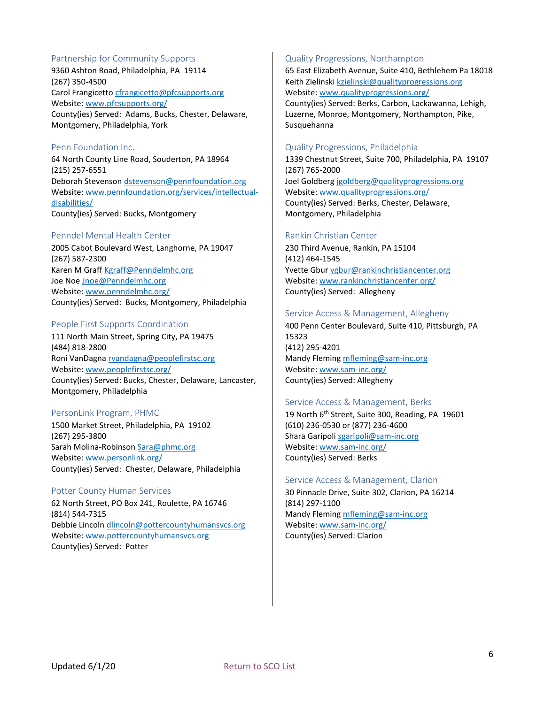# <span id="page-6-0"></span>Partnership for Community Supports

9360 Ashton Road, Philadelphia, PA 19114 (267) 350-4500 Carol Frangicetto [cfrangicetto@pfcsupports.org](mailto:cfrangicetto@pfcsupports.org) Website: [www.pfcsupports.org/](http://www.pfcsupports.org/) County(ies) Served: Adams, Bucks, Chester, Delaware, Montgomery, Philadelphia, York

#### <span id="page-6-1"></span>Penn Foundation Inc.

64 North County Line Road, Souderton, PA 18964 (215) 257-6551 Deborah Stevenson [dstevenson@pennfoundation.org](mailto:dstevenson@pennfoundation.org) Website: [www.pennfoundation.org/services/intellectual](http://www.pennfoundation.org/services/intellectual-disabilities/)[disabilities/](http://www.pennfoundation.org/services/intellectual-disabilities/) County(ies) Served: Bucks, Montgomery

#### <span id="page-6-2"></span>Penndel Mental Health Center

2005 Cabot Boulevard West, Langhorne, PA 19047 (267) 587-2300 Karen M Graff [Kgraff@Penndelmhc.org](mailto:Kgraff@Penndelmhc.org) Joe Noe [Jnoe@Penndelmhc.org](mailto:Jnoe@Penndelmhc.org) Website: [www.penndelmhc.org/](http://www.penndelmhc.org/serv10.htm) County(ies) Served: Bucks, Montgomery, Philadelphia

#### <span id="page-6-3"></span>People First Supports Coordination

111 North Main Street, Spring City, PA 19475 (484) 818-2800 Roni VanDagna [rvandagna@peoplefirstsc.org](mailto:rvandagna@peoplefirstsc.org) Website: [www.peoplefirstsc.org/](http://www.peoplefirstsc.org/) County(ies) Served: Bucks, Chester, Delaware, Lancaster, Montgomery, Philadelphia

# <span id="page-6-4"></span>PersonLink Program, PHMC

1500 Market Street, Philadelphia, PA 19102 (267) 295-3800 Sarah Molina-Robinson [Sara@phmc.org](mailto:Sara@phmc.org) Website: [www.personlink.org/](http://www.personlink.org/) County(ies) Served: Chester, Delaware, Philadelphia

#### <span id="page-6-5"></span>Potter County Human Services

62 North Street, PO Box 241, Roulette, PA 16746 (814) 544-7315 Debbie Lincoln [dlincoln@pottercountyhumansvcs.org](mailto:dlincoln@pottercountyhumansvcs.org) Website: [www.pottercountyhumansvcs.org](http://www.pottercountyhumansvcs.org/) County(ies) Served: Potter

#### <span id="page-6-6"></span>Quality Progressions, Northampton

65 East Elizabeth Avenue, Suite 410, Bethlehem Pa 18018 Keith Zielinski [kzielinski@qualityprogressions.org](mailto:kzielinski@qualityprogressions.org) Website: [www.qualityprogressions.org/](http://www.qualityprogressions.org/) County(ies) Served: Berks, Carbon, Lackawanna, Lehigh,

Luzerne, Monroe, Montgomery, Northampton, Pike, Susquehanna

#### <span id="page-6-7"></span>Quality Progressions, Philadelphia

1339 Chestnut Street, Suite 700, Philadelphia, PA 19107 (267) 765-2000 Joel Goldberg [jgoldberg@qualityprogressions.org](mailto:jgoldberg@qualityprogressions.org) Website: [www.qualityprogressions.org/](http://www.qualityprogressions.org/) County(ies) Served: Berks, Chester, Delaware, Montgomery, Philadelphia

#### <span id="page-6-8"></span>Rankin Christian Center

230 Third Avenue, Rankin, PA 15104 (412) 464-1545 Yvette Gbur [ygbur@rankinchristiancenter.org](mailto:ygbur@rankinchristiancenter.org) Website: [www.rankinchristiancenter.org/](http://www.rankinchristiancenter.org/) County(ies) Served: Allegheny

#### <span id="page-6-9"></span>Service Access & Management, Allegheny

400 Penn Center Boulevard, Suite 410, Pittsburgh, PA 15323 (412) 295-4201 Mandy Fleming [mfleming@sam-inc.org](mailto:mfleming@sam-inc.org) Website: [www.sam-inc.org/](http://www.sam-inc.org/) County(ies) Served: Allegheny

#### <span id="page-6-10"></span>Service Access & Management, Berks

19 North 6<sup>th</sup> Street, Suite 300, Reading, PA 19601 (610) 236-0530 or (877) 236-4600 Shara Garipoli [sgaripoli@sam-inc.org](mailto:sgaripoli@sam-inc.org) Website: [www.sam-inc.org/](http://www.sam-inc.org/) County(ies) Served: Berks

#### <span id="page-6-11"></span>Service Access & Management, Clarion

30 Pinnacle Drive, Suite 302, Clarion, PA 16214 (814) 297-1100 Mandy Fleming [mfleming@sam-inc.org](mailto:mfleming@sam-inc.org) Website: [www.sam-inc.org/](http://www.sam-inc.org/) County(ies) Served: Clarion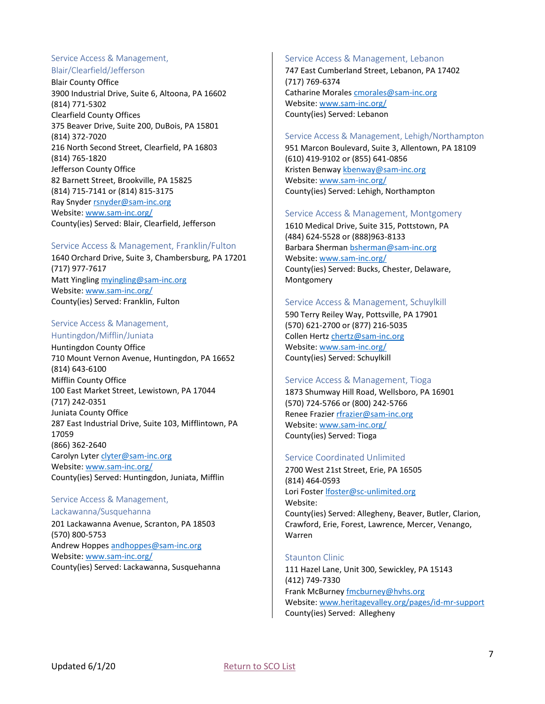#### <span id="page-7-0"></span>Service Access & Management, Blair/Clearfield/Jefferson

Blair County Office 3900 Industrial Drive, Suite 6, Altoona, PA 16602 (814) 771-5302 Clearfield County Offices 375 Beaver Drive, Suite 200, DuBois, PA 15801 (814) 372-7020 216 North Second Street, Clearfield, PA 16803 (814) 765-1820 Jefferson County Office 82 Barnett Street, Brookville, PA 15825 (814) 715-7141 or (814) 815-3175 Ray Snyder [rsnyder@sam-inc.org](mailto:rsnyder@sam-inc.org) Website: [www.sam-inc.org/](http://www.sam-inc.org/) County(ies) Served: Blair, Clearfield, Jefferson

# <span id="page-7-1"></span>Service Access & Management, Franklin/Fulton

1640 Orchard Drive, Suite 3, Chambersburg, PA 17201 (717) 977-7617 Matt Yingling [myingling@sam-inc.org](mailto:myingling@sam-inc.org) Website: [www.sam-inc.org/](http://www.sam-inc.org/) County(ies) Served: Franklin, Fulton

# <span id="page-7-2"></span>Service Access & Management,

Huntingdon/Mifflin/Juniata Huntingdon County Office 710 Mount Vernon Avenue, Huntingdon, PA 16652 (814) 643-6100 Mifflin County Office 100 East Market Street, Lewistown, PA 17044 (717) 242-0351 Juniata County Office 287 East Industrial Drive, Suite 103, Mifflintown, PA 17059 (866) 362-2640 Carolyn Lyte[r clyter@sam-inc.org](mailto:clyter@sam-inc.org) Website: [www.sam-inc.org/](http://www.sam-inc.org/) County(ies) Served: Huntingdon, Juniata, Mifflin

#### <span id="page-7-3"></span>Service Access & Management, Lackawanna/Susquehanna

201 Lackawanna Avenue, Scranton, PA 18503 (570) 800-5753 Andrew Hoppes [andhoppes@sam-inc.org](mailto:andhoppes@sam-inc.org) Website: [www.sam-inc.org/](http://www.sam-inc.org/) County(ies) Served: Lackawanna, Susquehanna

#### <span id="page-7-4"></span>Service Access & Management, Lebanon

747 East Cumberland Street, Lebanon, PA 17402 (717) 769-6374 Catharine Morales cmorales@sam-inc.org Website: [www.sam-inc.org/](http://www.sam-inc.org/) County(ies) Served: Lebanon

# <span id="page-7-5"></span>Service Access & Management, Lehigh/Northampton

951 Marcon Boulevard, Suite 3, Allentown, PA 18109 (610) 419-9102 or (855) 641-0856 Kristen Benway [kbenway@sam-inc.org](mailto:kbenway@sam-inc.org) Website: [www.sam-inc.org/](http://www.sam-inc.org/) County(ies) Served: Lehigh, Northampton

#### <span id="page-7-6"></span>Service Access & Management, Montgomery

1610 Medical Drive, Suite 315, Pottstown, PA (484) 624-5528 or (888)963-8133 Barbara Sherman [bsherman@sam-inc.org](mailto:bsherman@sam-inc.org) Website: [www.sam-inc.org/](http://www.sam-inc.org/) County(ies) Served: Bucks, Chester, Delaware, Montgomery

# <span id="page-7-7"></span>Service Access & Management, Schuylkill

590 Terry Reiley Way, Pottsville, PA 17901 (570) 621-2700 or (877) 216-5035 Collen Hertz [chertz@sam-inc.org](mailto:chertz@sam-inc.org) Website: [www.sam-inc.org/](http://www.sam-inc.org/) County(ies) Served: Schuylkill

# <span id="page-7-8"></span>Service Access & Management, Tioga

1873 Shumway Hill Road, Wellsboro, PA 16901 (570) 724-5766 or (800) 242-5766 Renee Frazier [rfrazier@sam-inc.org](mailto:rfrazier@sam-inc.org) Website: [www.sam-inc.org/](http://www.sam-inc.org/) County(ies) Served: Tioga

# <span id="page-7-9"></span>Service Coordinated Unlimited

2700 West 21st Street, Erie, PA 16505 (814) 464-0593 Lori Foster [lfoster@sc-unlimited.org](mailto:lfoster@sc-unlimited.org) Website: County(ies) Served: Allegheny, Beaver, Butler, Clarion, Crawford, Erie, Forest, Lawrence, Mercer, Venango, Warren

# <span id="page-7-10"></span>Staunton Clinic

111 Hazel Lane, Unit 300, Sewickley, PA 15143 (412) 749-7330 Frank McBurney [fmcburney@hvhs.org](mailto:fmcburney@hvhs.org) Website: [www.heritagevalley.org/pages/id-mr-support](http://www.heritagevalley.org/pages/id-mr-support) County(ies) Served: Allegheny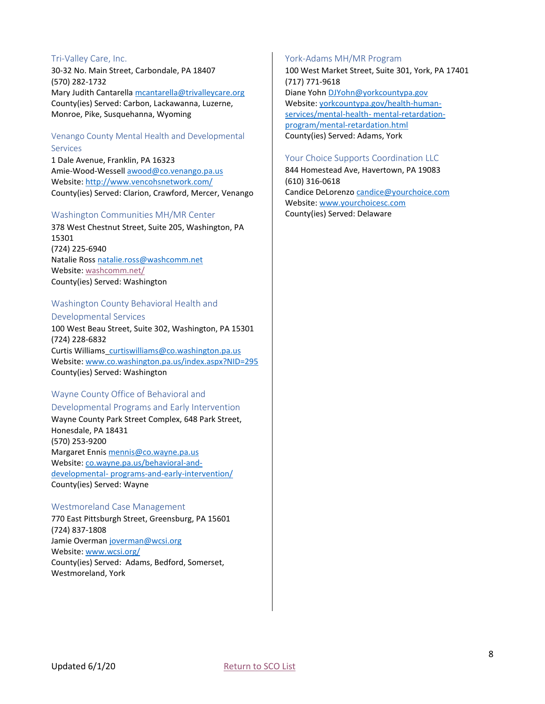#### <span id="page-8-0"></span>Tri-Valley Care, Inc.

30-32 No. Main Street, Carbondale, PA 18407 (570) 282-1732 Mary Judith Cantarella [mcantarella@trivalleycare.org](mailto:mcantarella@trivalleycare.org) County(ies) Served: Carbon, Lackawanna, Luzerne, Monroe, Pike, Susquehanna, Wyoming

# <span id="page-8-1"></span>Venango County Mental Health and Developmental Services

1 Dale Avenue, Franklin, PA 16323 Amie-Wood-Wessell [awood@co.venango.pa.us](mailto:awood@co.venango.pa.us) Website:<http://www.vencohsnetwork.com/> County(ies) Served: Clarion, Crawford, Mercer, Venango

#### <span id="page-8-2"></span>Washington Communities MH/MR Center

378 West Chestnut Street, Suite 205, Washington, PA 15301 (724) 225-6940 Natalie Ross [natalie.ross@washcomm.net](mailto:natalie.ross@washcomm.net) Website:<washcomm.net/> County(ies) Served: Washington

# <span id="page-8-3"></span>Washington County Behavioral Health and Developmental Services

100 West Beau Street, Suite 302, Washington, PA 15301 (724) 228-6832 Curtis Williams [curtiswilliams@co.washington.pa.us](mailto:curtiswilliams@co.washington.pa.us) Website: [www.co.washington.pa.us/index.aspx?NID=295](http://www.co.washington.pa.us/index.aspx?NID=295) County(ies) Served: Washington

# <span id="page-8-4"></span>Wayne County Office of Behavioral and Developmental Programs and Early Intervention

Wayne County Park Street Complex, 648 Park Street, Honesdale, PA 18431 (570) 253-9200 Margaret Ennis [mennis@co.wayne.pa.us](mailto:mennis@co.wayne.pa.us) Website: [co.wayne.pa.us/behavioral-and](co.wayne.pa.us/behavioral-and-developmental-%20programs-and-early-intervention/)developmental- [programs-and-early-intervention/](co.wayne.pa.us/behavioral-and-developmental-%20programs-and-early-intervention/) County(ies) Served: Wayne

#### <span id="page-8-5"></span>Westmoreland Case Management

770 East Pittsburgh Street, Greensburg, PA 15601 (724) 837-1808 Jamie Overman [joverman@wcsi.org](mailto:joverman@wcsi.org) Website: [www.wcsi.org/](http://www.wcsi.org/) County(ies) Served: Adams, Bedford, Somerset, Westmoreland, York

#### <span id="page-8-6"></span>York-Adams MH/MR Program

100 West Market Street, Suite 301, York, PA 17401 (717) 771-9618 Diane Yohn [DJYohn@yorkcountypa.gov](mailto:DJYohn@yorkcountypa.gov) Website: [yorkcountypa.gov/health-human](yorkcountypa.gov/health-human-services/mental-health-%20mental-retardation-program/mental-retardation.html)[services/mental-health-](yorkcountypa.gov/health-human-services/mental-health-%20mental-retardation-program/mental-retardation.html) mental-retardation[program/mental-retardation.html](yorkcountypa.gov/health-human-services/mental-health-%20mental-retardation-program/mental-retardation.html) County(ies) Served: Adams, York

#### <span id="page-8-7"></span>Your Choice Supports Coordination LLC

844 Homestead Ave, Havertown, PA 19083 (610) 316-0618 Candice DeLorenzo [candice@yourchoice.com](mailto:candice@yourchoice.com) Website: [www.yourchoicesc.com](http://www.yourchoicesc.com/) County(ies) Served: Delaware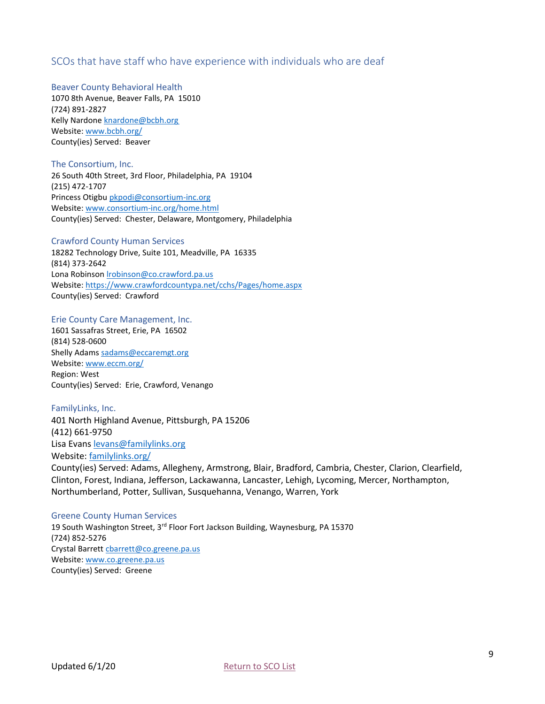# <span id="page-9-0"></span>SCOs that have staff who have experience with individuals who are deaf

#### Beaver County Behavioral Health

1070 8th Avenue, Beaver Falls, PA 15010 (724) 891-2827 Kelly Nardone [knardone@bcbh.org](mailto:knardone@bcbh.org) Website: [www.bcbh.org/](http://www.bcbh.org/) County(ies) Served: Beaver

# The Consortium, Inc.

26 South 40th Street, 3rd Floor, Philadelphia, PA 19104 (215) 472-1707 Princess Otigbu [pkpodi@consortium-inc.org](mailto:pkpodi@consortium-inc.org) Website: [www.consortium-inc.org/home.html](http://www.consortium-inc.org/home.html) County(ies) Served: Chester, Delaware, Montgomery, Philadelphia

# Crawford County Human Services

18282 Technology Drive, Suite 101, Meadville, PA 16335 (814) 373-2642 Lona Robinson *Irobinson@co.crawford.pa.us* Website:<https://www.crawfordcountypa.net/cchs/Pages/home.aspx> County(ies) Served: Crawford

# Erie County Care Management, Inc.

1601 Sassafras Street, Erie, PA 16502 (814) 528-0600 Shelly Adams [sadams@eccaremgt.org](mailto:sadams@eccaremgt.org) Website: [www.eccm.org/](http://www.eccm.org/) Region: West County(ies) Served: Erie, Crawford, Venango

#### FamilyLinks, Inc.

401 North Highland Avenue, Pittsburgh, PA 15206 (412) 661-9750 Lisa Evans [levans@familylinks.org](mailto:levans@familylinks.org) Website: [familylinks.org/](https://familylinks.org/)

County(ies) Served: Adams, Allegheny, Armstrong, Blair, Bradford, Cambria, Chester, Clarion, Clearfield, Clinton, Forest, Indiana, Jefferson, Lackawanna, Lancaster, Lehigh, Lycoming, Mercer, Northampton, Northumberland, Potter, Sullivan, Susquehanna, Venango, Warren, York

#### Greene County Human Services

19 South Washington Street, 3rd Floor Fort Jackson Building, Waynesburg, PA 15370 (724) 852-5276 Crystal Barrett [cbarrett@co.greene.pa.us](mailto:cbarrett@co.greene.pa.us) Website: [www.co.greene.pa.us](http://www.co.greene.pa.us/) County(ies) Served: Greene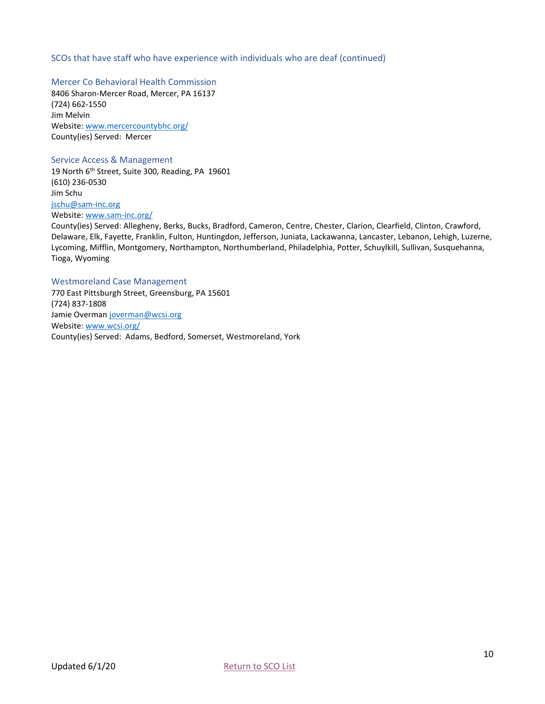# SCOs that have staff who have experience with individuals who are deaf (continued)

Mercer Co Behavioral Health Commission 8406 Sharon-Mercer Road, Mercer, PA 16137 (724) 662-1550 Jim Melvin Website: [www.mercercountybhc.org/](http://www.mercercountybhc.org/) County(ies) Served: Mercer

#### Service Access & Management

19 North 6<sup>th</sup> Street, Suite 300, Reading, PA 19601 (610) 236-0530 Jim Schu [jschu@sam-inc.org](mailto:jschu@sam-inc.org) Website: [www.sam-inc.org/](http://www.sam-inc.org/)

County(ies) Served: Allegheny, Berks, Bucks, Bradford, Cameron, Centre, Chester, Clarion, Clearfield, Clinton, Crawford, Delaware, Elk, Fayette, Franklin, Fulton, Huntingdon, Jefferson, Juniata, Lackawanna, Lancaster, Lebanon, Lehigh, Luzerne, Lycoming, Mifflin, Montgomery, Northampton, Northumberland, Philadelphia, Potter, Schuylkill, Sullivan, Susquehanna, Tioga, Wyoming

#### Westmoreland Case Management

770 East Pittsburgh Street, Greensburg, PA 15601 (724) 837-1808 Jamie Overman [joverman@wcsi.org](mailto:joverman@wcsi.org) Website: [www.wcsi.org/](http://www.wcsi.org/) County(ies) Served: Adams, Bedford, Somerset, Westmoreland, York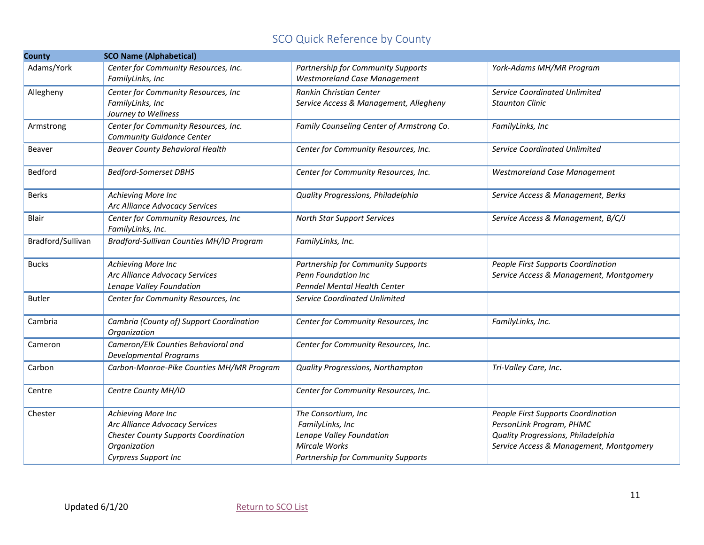# SCO Quick Reference by County

<span id="page-11-0"></span>

| <b>County</b>     | <b>SCO Name (Alphabetical)</b>                                                                                                                     |                                                                                                                                   |                                                                                                                                                 |
|-------------------|----------------------------------------------------------------------------------------------------------------------------------------------------|-----------------------------------------------------------------------------------------------------------------------------------|-------------------------------------------------------------------------------------------------------------------------------------------------|
| Adams/York        | Center for Community Resources, Inc.<br>FamilyLinks, Inc                                                                                           | Partnership for Community Supports<br><b>Westmoreland Case Management</b>                                                         | York-Adams MH/MR Program                                                                                                                        |
| Allegheny         | Center for Community Resources, Inc<br>FamilyLinks, Inc<br>Journey to Wellness                                                                     | Rankin Christian Center<br>Service Access & Management, Allegheny                                                                 | Service Coordinated Unlimited<br><b>Staunton Clinic</b>                                                                                         |
| Armstrong         | Center for Community Resources, Inc.<br><b>Community Guidance Center</b>                                                                           | Family Counseling Center of Armstrong Co.                                                                                         | FamilyLinks, Inc                                                                                                                                |
| <b>Beaver</b>     | <b>Beaver County Behavioral Health</b>                                                                                                             | Center for Community Resources, Inc.                                                                                              | Service Coordinated Unlimited                                                                                                                   |
| Bedford           | <b>Bedford-Somerset DBHS</b>                                                                                                                       | Center for Community Resources, Inc.                                                                                              | <b>Westmoreland Case Management</b>                                                                                                             |
| <b>Berks</b>      | Achieving More Inc<br>Arc Alliance Advocacy Services                                                                                               | Quality Progressions, Philadelphia                                                                                                | Service Access & Management, Berks                                                                                                              |
| <b>Blair</b>      | Center for Community Resources, Inc<br>FamilyLinks, Inc.                                                                                           | <b>North Star Support Services</b>                                                                                                | Service Access & Management, B/C/J                                                                                                              |
| Bradford/Sullivan | Bradford-Sullivan Counties MH/ID Program                                                                                                           | FamilyLinks, Inc.                                                                                                                 |                                                                                                                                                 |
| <b>Bucks</b>      | Achieving More Inc<br>Arc Alliance Advocacy Services<br>Lenape Valley Foundation                                                                   | Partnership for Community Supports<br>Penn Foundation Inc<br><b>Penndel Mental Health Center</b>                                  | People First Supports Coordination<br>Service Access & Management, Montgomery                                                                   |
| <b>Butler</b>     | Center for Community Resources, Inc                                                                                                                | <b>Service Coordinated Unlimited</b>                                                                                              |                                                                                                                                                 |
| Cambria           | Cambria (County of) Support Coordination<br>Organization                                                                                           | Center for Community Resources, Inc                                                                                               | FamilyLinks, Inc.                                                                                                                               |
| Cameron           | Cameron/Elk Counties Behavioral and<br><b>Developmental Programs</b>                                                                               | Center for Community Resources, Inc.                                                                                              |                                                                                                                                                 |
| Carbon            | Carbon-Monroe-Pike Counties MH/MR Program                                                                                                          | Quality Progressions, Northampton                                                                                                 | Tri-Valley Care, Inc.                                                                                                                           |
| Centre            | Centre County MH/ID                                                                                                                                | Center for Community Resources, Inc.                                                                                              |                                                                                                                                                 |
| Chester           | Achieving More Inc<br>Arc Alliance Advocacy Services<br><b>Chester County Supports Coordination</b><br>Organization<br><b>Cyrpress Support Inc</b> | The Consortium, Inc<br>FamilyLinks, Inc<br>Lenape Valley Foundation<br><b>Mircale Works</b><br>Partnership for Community Supports | People First Supports Coordination<br>PersonLink Program, PHMC<br>Quality Progressions, Philadelphia<br>Service Access & Management, Montgomery |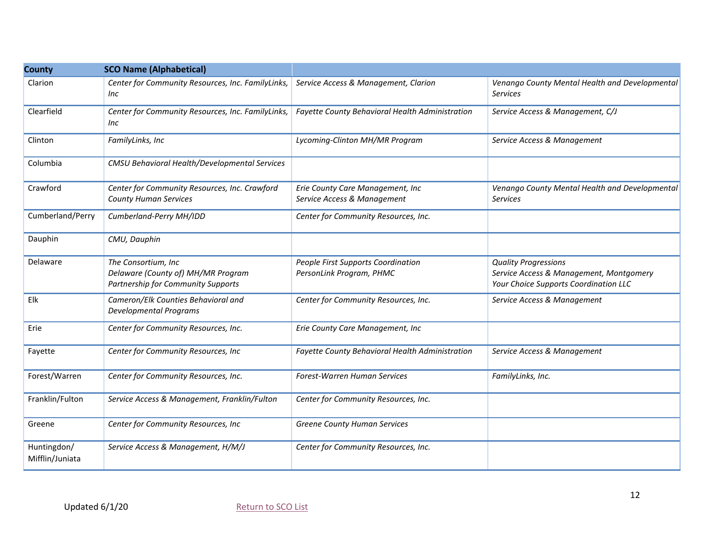| <b>County</b>                  | <b>SCO Name (Alphabetical)</b>                                                                         |                                                                 |                                                                                                                 |
|--------------------------------|--------------------------------------------------------------------------------------------------------|-----------------------------------------------------------------|-----------------------------------------------------------------------------------------------------------------|
| Clarion                        | Center for Community Resources, Inc. FamilyLinks,<br>Inc                                               | Service Access & Management, Clarion                            | Venango County Mental Health and Developmental<br><b>Services</b>                                               |
| Clearfield                     | Center for Community Resources, Inc. FamilyLinks,<br>Inc                                               | Fayette County Behavioral Health Administration                 | Service Access & Management, C/J                                                                                |
| Clinton                        | FamilyLinks, Inc                                                                                       | Lycoming-Clinton MH/MR Program                                  | Service Access & Management                                                                                     |
| Columbia                       | CMSU Behavioral Health/Developmental Services                                                          |                                                                 |                                                                                                                 |
| Crawford                       | Center for Community Resources, Inc. Crawford<br><b>County Human Services</b>                          | Erie County Care Management, Inc<br>Service Access & Management | Venango County Mental Health and Developmental<br><b>Services</b>                                               |
| Cumberland/Perry               | Cumberland-Perry MH/IDD                                                                                | Center for Community Resources, Inc.                            |                                                                                                                 |
| Dauphin                        | CMU, Dauphin                                                                                           |                                                                 |                                                                                                                 |
| Delaware                       | The Consortium, Inc<br>Delaware (County of) MH/MR Program<br><b>Partnership for Community Supports</b> | People First Supports Coordination<br>PersonLink Program, PHMC  | <b>Quality Progressions</b><br>Service Access & Management, Montgomery<br>Your Choice Supports Coordination LLC |
| Elk                            | Cameron/Elk Counties Behavioral and<br>Developmental Programs                                          | Center for Community Resources, Inc.                            | Service Access & Management                                                                                     |
| Erie                           | Center for Community Resources, Inc.                                                                   | Erie County Care Management, Inc                                |                                                                                                                 |
| Fayette                        | Center for Community Resources, Inc                                                                    | Fayette County Behavioral Health Administration                 | Service Access & Management                                                                                     |
| Forest/Warren                  | Center for Community Resources, Inc.                                                                   | Forest-Warren Human Services                                    | FamilyLinks, Inc.                                                                                               |
| Franklin/Fulton                | Service Access & Management, Franklin/Fulton                                                           | Center for Community Resources, Inc.                            |                                                                                                                 |
| Greene                         | Center for Community Resources, Inc                                                                    | Greene County Human Services                                    |                                                                                                                 |
| Huntingdon/<br>Mifflin/Juniata | Service Access & Management, H/M/J                                                                     | Center for Community Resources, Inc.                            |                                                                                                                 |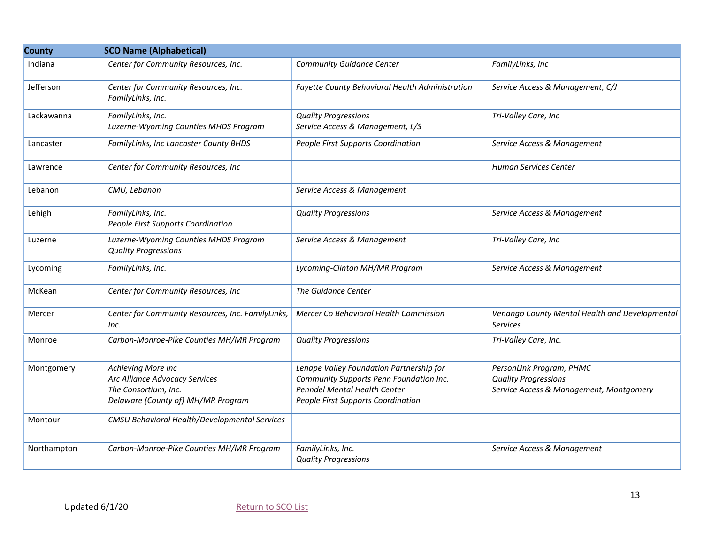| <b>County</b> | <b>SCO Name (Alphabetical)</b>                                                                                     |                                                                                                                                                           |                                                                                                    |  |
|---------------|--------------------------------------------------------------------------------------------------------------------|-----------------------------------------------------------------------------------------------------------------------------------------------------------|----------------------------------------------------------------------------------------------------|--|
| Indiana       | Center for Community Resources, Inc.                                                                               | <b>Community Guidance Center</b>                                                                                                                          | FamilyLinks, Inc                                                                                   |  |
| Jefferson     | Center for Community Resources, Inc.<br>FamilyLinks, Inc.                                                          | Fayette County Behavioral Health Administration                                                                                                           | Service Access & Management, C/J                                                                   |  |
| Lackawanna    | FamilyLinks, Inc.<br>Luzerne-Wyoming Counties MHDS Program                                                         | <b>Quality Progressions</b><br>Service Access & Management, L/S                                                                                           | Tri-Valley Care, Inc                                                                               |  |
| Lancaster     | FamilyLinks, Inc Lancaster County BHDS                                                                             | People First Supports Coordination                                                                                                                        | Service Access & Management                                                                        |  |
| Lawrence      | Center for Community Resources, Inc                                                                                |                                                                                                                                                           | Human Services Center                                                                              |  |
| Lebanon       | CMU, Lebanon                                                                                                       | Service Access & Management                                                                                                                               |                                                                                                    |  |
| Lehigh        | FamilyLinks, Inc.<br>People First Supports Coordination                                                            | <b>Quality Progressions</b>                                                                                                                               | Service Access & Management                                                                        |  |
| Luzerne       | Luzerne-Wyoming Counties MHDS Program<br><b>Quality Progressions</b>                                               | Service Access & Management                                                                                                                               | Tri-Valley Care, Inc                                                                               |  |
| Lycoming      | FamilyLinks, Inc.                                                                                                  | Lycoming-Clinton MH/MR Program                                                                                                                            | Service Access & Management                                                                        |  |
| McKean        | Center for Community Resources, Inc                                                                                | The Guidance Center                                                                                                                                       |                                                                                                    |  |
| Mercer        | Center for Community Resources, Inc. FamilyLinks,<br>Inc.                                                          | Mercer Co Behavioral Health Commission                                                                                                                    | Venango County Mental Health and Developmental<br>Services                                         |  |
| Monroe        | Carbon-Monroe-Pike Counties MH/MR Program                                                                          | <b>Quality Progressions</b>                                                                                                                               | Tri-Valley Care, Inc.                                                                              |  |
| Montgomery    | Achieving More Inc<br>Arc Alliance Advocacy Services<br>The Consortium, Inc.<br>Delaware (County of) MH/MR Program | Lenape Valley Foundation Partnership for<br>Community Supports Penn Foundation Inc.<br>Penndel Mental Health Center<br>People First Supports Coordination | PersonLink Program, PHMC<br><b>Quality Progressions</b><br>Service Access & Management, Montgomery |  |
| Montour       | CMSU Behavioral Health/Developmental Services                                                                      |                                                                                                                                                           |                                                                                                    |  |
| Northampton   | Carbon-Monroe-Pike Counties MH/MR Program                                                                          | FamilyLinks, Inc.<br><b>Quality Progressions</b>                                                                                                          | Service Access & Management                                                                        |  |